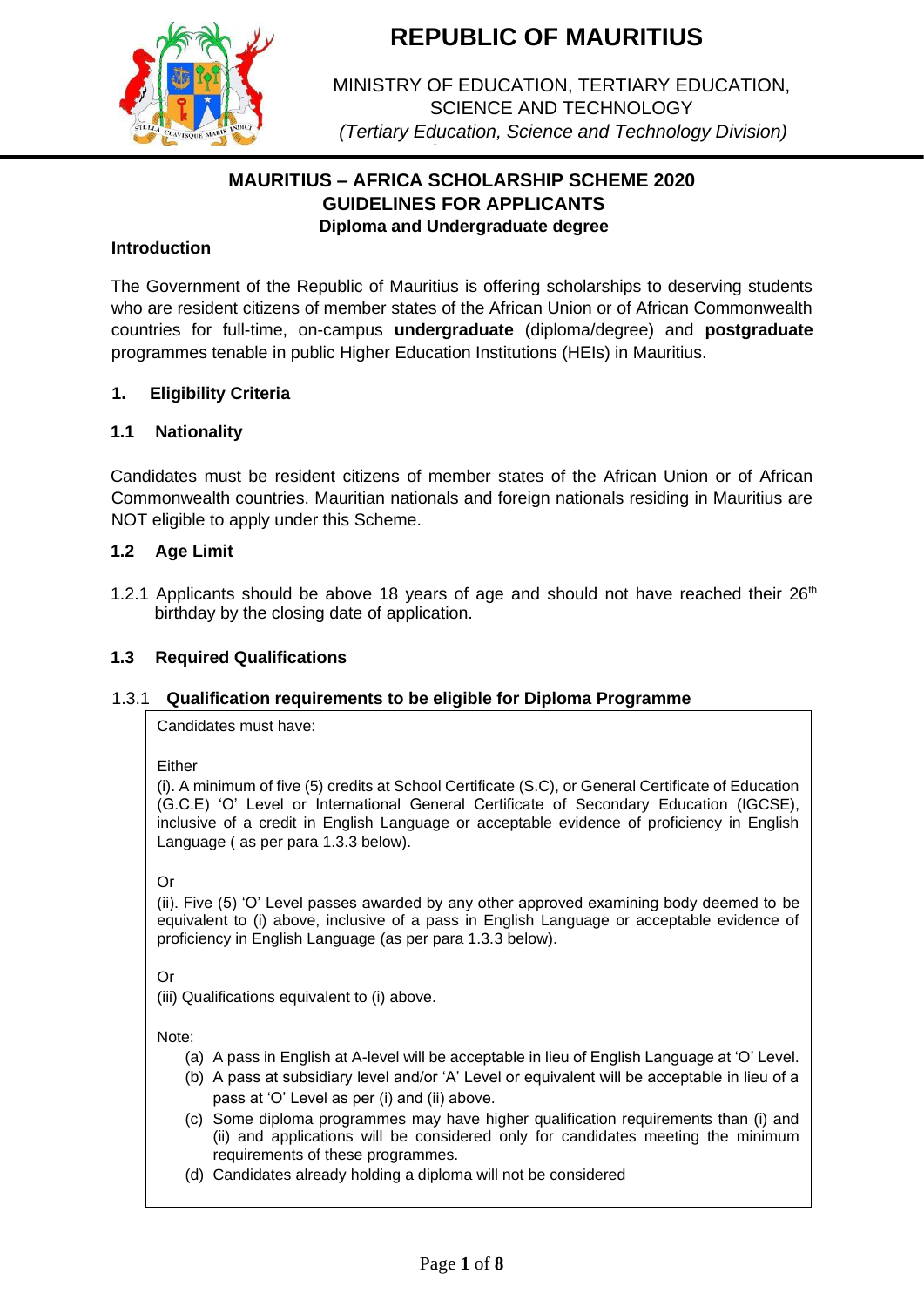

MINISTRY OF EDUCATION, TERTIARY EDUCATION, SCIENCE AND TECHNOLOGY *(Tertiary Education, Science and Technology Division)*

# **MAURITIUS – AFRICA SCHOLARSHIP SCHEME 2020 GUIDELINES FOR APPLICANTS Diploma and Undergraduate degree**

### **Introduction**

The Government of the Republic of Mauritius is offering scholarships to deserving students who are resident citizens of member states of the African Union or of African Commonwealth countries for full-time, on-campus **undergraduate** (diploma/degree) and **postgraduate** programmes tenable in public Higher Education Institutions (HEIs) in Mauritius.

#### **1. Eligibility Criteria**

#### **1.1 Nationality**

Candidates must be resident citizens of member states of the African Union or of African Commonwealth countries. Mauritian nationals and foreign nationals residing in Mauritius are NOT eligible to apply under this Scheme.

#### **1.2 Age Limit**

1.2.1 Applicants should be above 18 years of age and should not have reached their  $26<sup>th</sup>$ birthday by the closing date of application.

#### **1.3 Required Qualifications**

#### 1.3.1 **Qualification requirements to be eligible for Diploma Programme**

Candidates must have:

Either

(i). A minimum of five (5) credits at School Certificate (S.C), or General Certificate of Education (G.C.E) 'O' Level or International General Certificate of Secondary Education (IGCSE), inclusive of a credit in English Language or acceptable evidence of proficiency in English Language ( as per para 1.3.3 below).

Or

(ii). Five (5) 'O' Level passes awarded by any other approved examining body deemed to be equivalent to (i) above, inclusive of a pass in English Language or acceptable evidence of proficiency in English Language (as per para 1.3.3 below).

Or

(iii) Qualifications equivalent to (i) above.

Note:

- (a) A pass in English at A-level will be acceptable in lieu of English Language at 'O' Level.
- (b) A pass at subsidiary level and/or 'A' Level or equivalent will be acceptable in lieu of a pass at 'O' Level as per (i) and (ii) above.
- (c) Some diploma programmes may have higher qualification requirements than (i) and (ii) and applications will be considered only for candidates meeting the minimum requirements of these programmes.
- (d) Candidates already holding a diploma will not be considered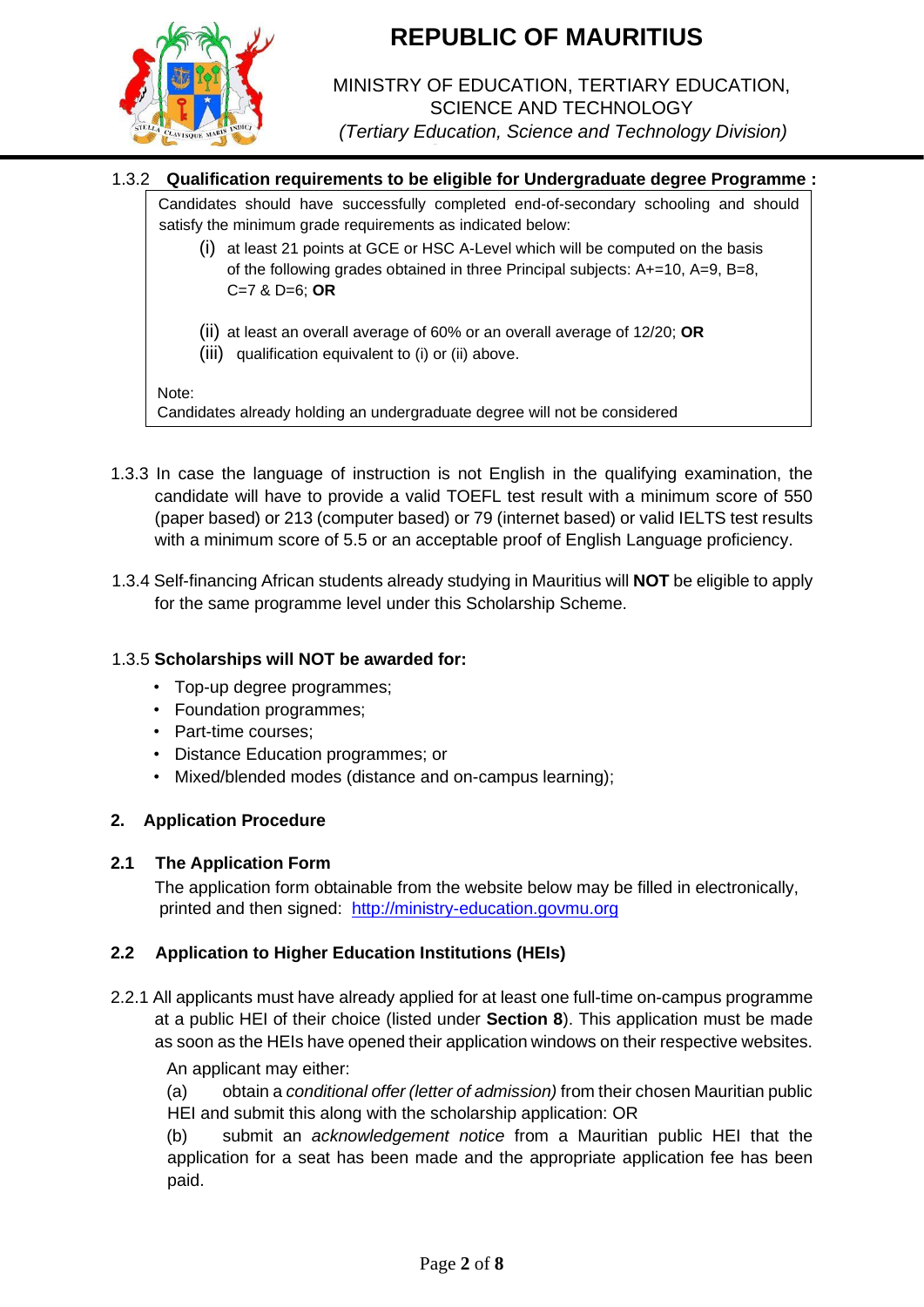

## MINISTRY OF EDUCATION, TERTIARY EDUCATION, SCIENCE AND TECHNOLOGY *(Tertiary Education, Science and Technology Division)*

## 1.3.2 **Qualification requirements to be eligible for Undergraduate degree Programme :**

Candidates should have successfully completed end-of-secondary schooling and should satisfy the minimum grade requirements as indicated below:

- (i) at least 21 points at GCE or HSC A-Level which will be computed on the basis of the following grades obtained in three Principal subjects: A+=10, A=9, B=8, C=7 & D=6; **OR**
- (ii) at least an overall average of 60% or an overall average of 12/20; **OR**
- (iii) qualification equivalent to (i) or (ii) above.

#### Note:

Candidates already holding an undergraduate degree will not be considered

- 1.3.3 In case the language of instruction is not English in the qualifying examination, the candidate will have to provide a valid TOEFL test result with a minimum score of 550 (paper based) or 213 (computer based) or 79 (internet based) or valid IELTS test results with a minimum score of 5.5 or an acceptable proof of English Language proficiency.
- 1.3.4 Self-financing African students already studying in Mauritius will **NOT** be eligible to apply for the same programme level under this Scholarship Scheme.

#### 1.3.5 **Scholarships will NOT be awarded for:**

- Top-up degree programmes;
- Foundation programmes;
- Part-time courses;
- Distance Education programmes; or
- Mixed/blended modes (distance and on-campus learning);

## **2. Application Procedure**

#### **2.1 The Application Form**

The application form obtainable from the website below may be filled in electronically, printed and then signed: [http://ministry-education.govmu.org](http://ministry-education.govmu.org/)

## **2.2 Application to Higher Education Institutions (HEIs)**

2.2.1 All applicants must have already applied for at least one full-time on-campus programme at a public HEI of their choice (listed under **Section 8**). This application must be made as soon as the HEIs have opened their application windows on their respective websites.

#### An applicant may either:

(a) obtain a *conditional offer (letter of admission)* from their chosen Mauritian public HEI and submit this along with the scholarship application: OR

(b) submit an *acknowledgement notice* from a Mauritian public HEI that the application for a seat has been made and the appropriate application fee has been paid.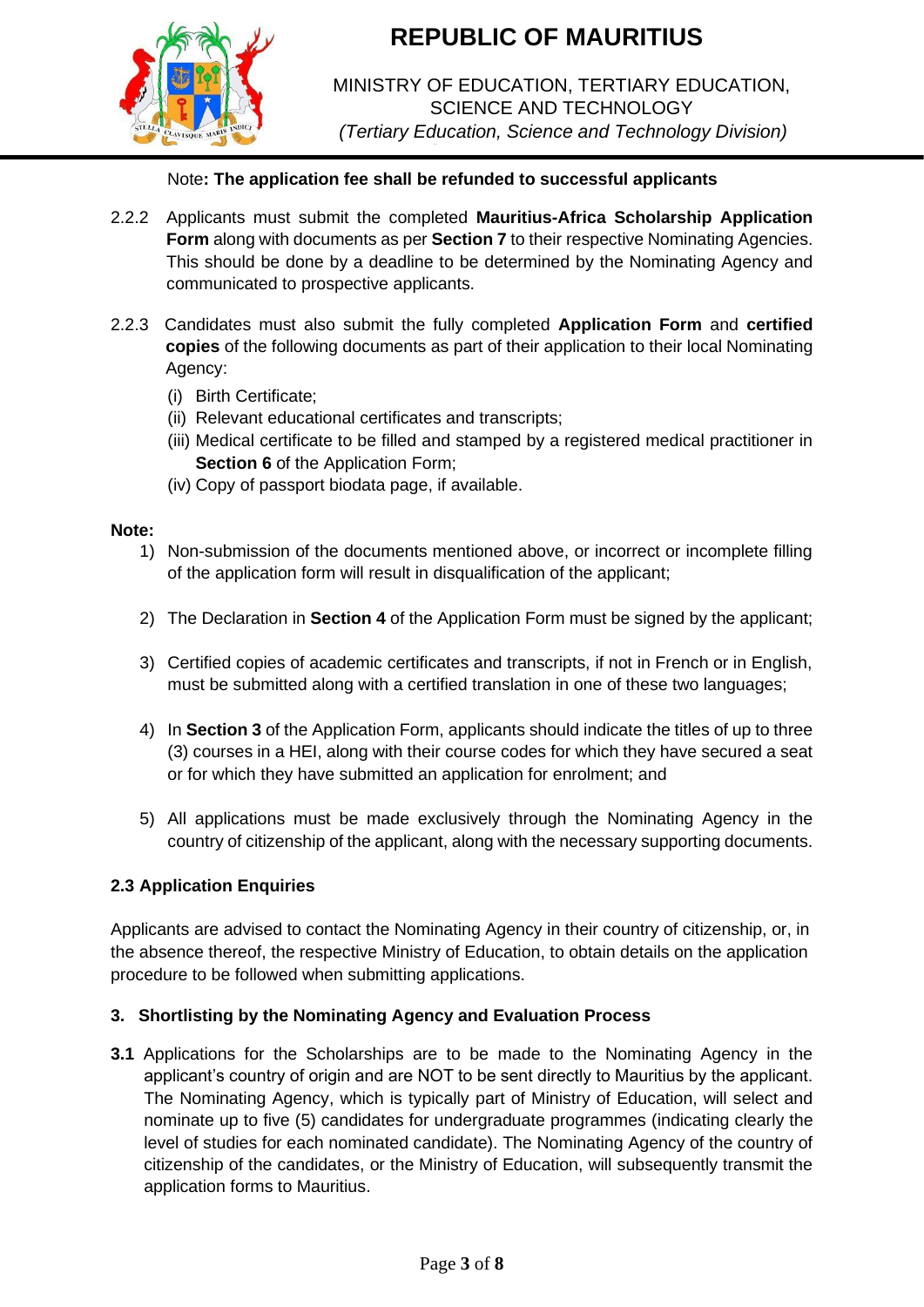

MINISTRY OF EDUCATION, TERTIARY EDUCATION, SCIENCE AND TECHNOLOGY *(Tertiary Education, Science and Technology Division)*

## Note**: The application fee shall be refunded to successful applicants**

- 2.2.2 Applicants must submit the completed **Mauritius-Africa Scholarship Application Form** along with documents as per **Section 7** to their respective Nominating Agencies. This should be done by a deadline to be determined by the Nominating Agency and communicated to prospective applicants.
- 2.2.3 Candidates must also submit the fully completed **Application Form** and **certified copies** of the following documents as part of their application to their local Nominating Agency:
	- (i) Birth Certificate;
	- (ii) Relevant educational certificates and transcripts;
	- (iii) Medical certificate to be filled and stamped by a registered medical practitioner in **Section 6** of the Application Form;
	- (iv) Copy of passport biodata page, if available.

#### **Note:**

- 1) Non-submission of the documents mentioned above, or incorrect or incomplete filling of the application form will result in disqualification of the applicant;
- 2) The Declaration in **Section 4** of the Application Form must be signed by the applicant;
- 3) Certified copies of academic certificates and transcripts, if not in French or in English, must be submitted along with a certified translation in one of these two languages;
- 4) In **Section 3** of the Application Form, applicants should indicate the titles of up to three (3) courses in a HEI, along with their course codes for which they have secured a seat or for which they have submitted an application for enrolment; and
- 5) All applications must be made exclusively through the Nominating Agency in the country of citizenship of the applicant, along with the necessary supporting documents.

## **2.3 Application Enquiries**

Applicants are advised to contact the Nominating Agency in their country of citizenship, or, in the absence thereof, the respective Ministry of Education, to obtain details on the application procedure to be followed when submitting applications.

## **3. Shortlisting by the Nominating Agency and Evaluation Process**

**3.1** Applications for the Scholarships are to be made to the Nominating Agency in the applicant's country of origin and are NOT to be sent directly to Mauritius by the applicant. The Nominating Agency, which is typically part of Ministry of Education, will select and nominate up to five (5) candidates for undergraduate programmes (indicating clearly the level of studies for each nominated candidate). The Nominating Agency of the country of citizenship of the candidates, or the Ministry of Education, will subsequently transmit the application forms to Mauritius.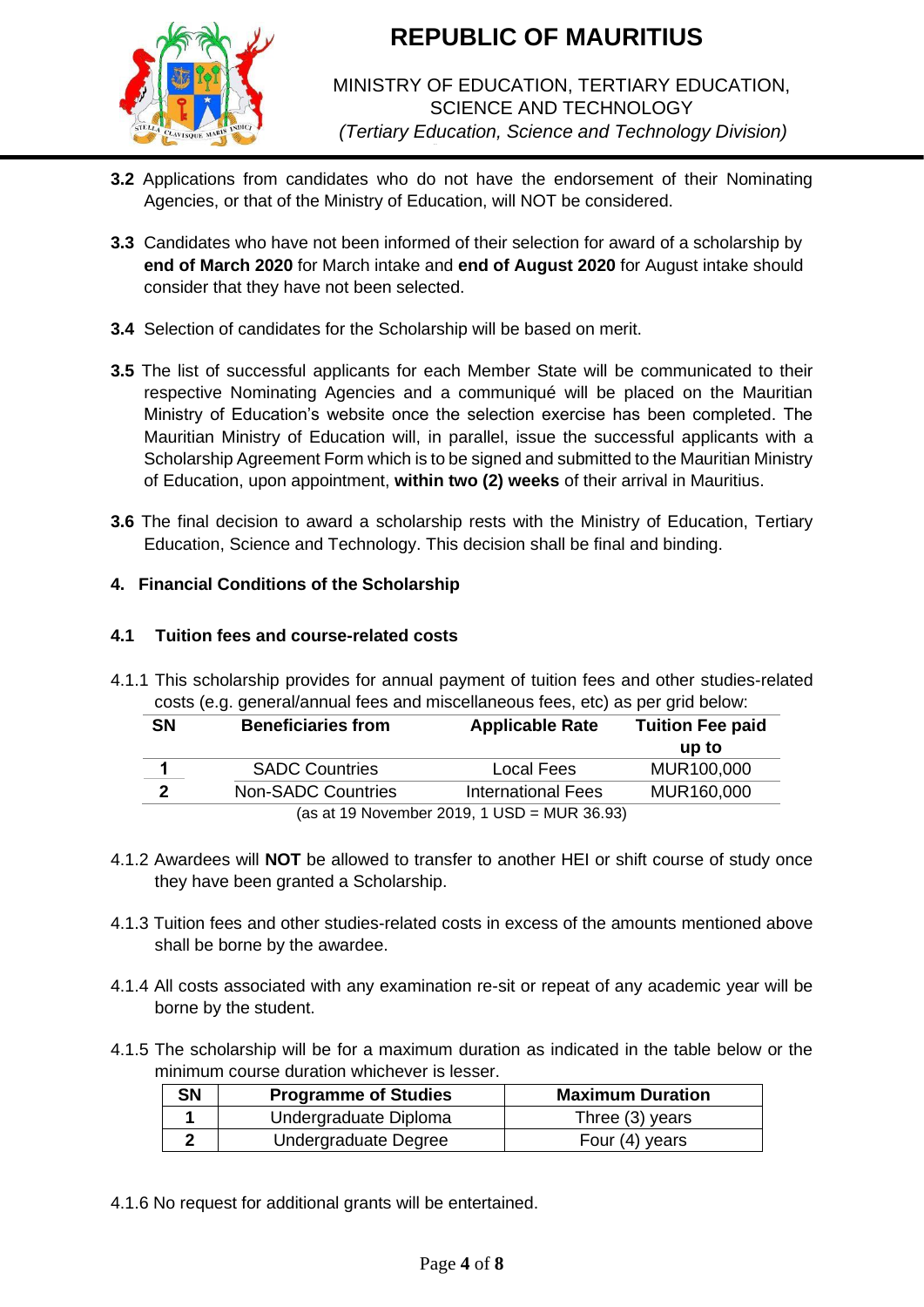

## MINISTRY OF EDUCATION, TERTIARY EDUCATION, SCIENCE AND TECHNOLOGY *(Tertiary Education, Science and Technology Division)*

- **3.2** Applications from candidates who do not have the endorsement of their Nominating Agencies, or that of the Ministry of Education, will NOT be considered.
- **3.3** Candidates who have not been informed of their selection for award of a scholarship by **end of March 2020** for March intake and **end of August 2020** for August intake should consider that they have not been selected.
- **3.4** Selection of candidates for the Scholarship will be based on merit.
- **3.5** The list of successful applicants for each Member State will be communicated to their respective Nominating Agencies and a communiqué will be placed on the Mauritian Ministry of Education's website once the selection exercise has been completed. The Mauritian Ministry of Education will, in parallel, issue the successful applicants with a Scholarship Agreement Form which is to be signed and submitted to the Mauritian Ministry of Education, upon appointment, **within two (2) weeks** of their arrival in Mauritius.
- **3.6** The final decision to award a scholarship rests with the Ministry of Education, Tertiary Education, Science and Technology. This decision shall be final and binding.

## **4. Financial Conditions of the Scholarship**

## **4.1 Tuition fees and course-related costs**

4.1.1 This scholarship provides for annual payment of tuition fees and other studies-related costs (e.g. general/annual fees and miscellaneous fees, etc) as per grid below:

| <b>SN</b>                                   | <b>Beneficiaries from</b> | <b>Applicable Rate</b>    | <b>Tuition Fee paid</b> |  |
|---------------------------------------------|---------------------------|---------------------------|-------------------------|--|
|                                             |                           |                           | up to                   |  |
|                                             | <b>SADC Countries</b>     | Local Fees                | MUR100,000              |  |
| າ                                           | <b>Non-SADC Countries</b> | <b>International Fees</b> | MUR160,000              |  |
| (as at 19 November 2019, 1 USD = MUR 36.93) |                           |                           |                         |  |

- 4.1.2 Awardees will **NOT** be allowed to transfer to another HEI or shift course of study once they have been granted a Scholarship.
- 4.1.3 Tuition fees and other studies-related costs in excess of the amounts mentioned above shall be borne by the awardee.
- 4.1.4 All costs associated with any examination re-sit or repeat of any academic year will be borne by the student.
- 4.1.5 The scholarship will be for a maximum duration as indicated in the table below or the minimum course duration whichever is lesser.

| <b>SN</b> | <b>Programme of Studies</b> | <b>Maximum Duration</b> |
|-----------|-----------------------------|-------------------------|
|           | Undergraduate Diploma       | Three $(3)$ years       |
|           | Undergraduate Degree        | Four (4) years          |

4.1.6 No request for additional grants will be entertained.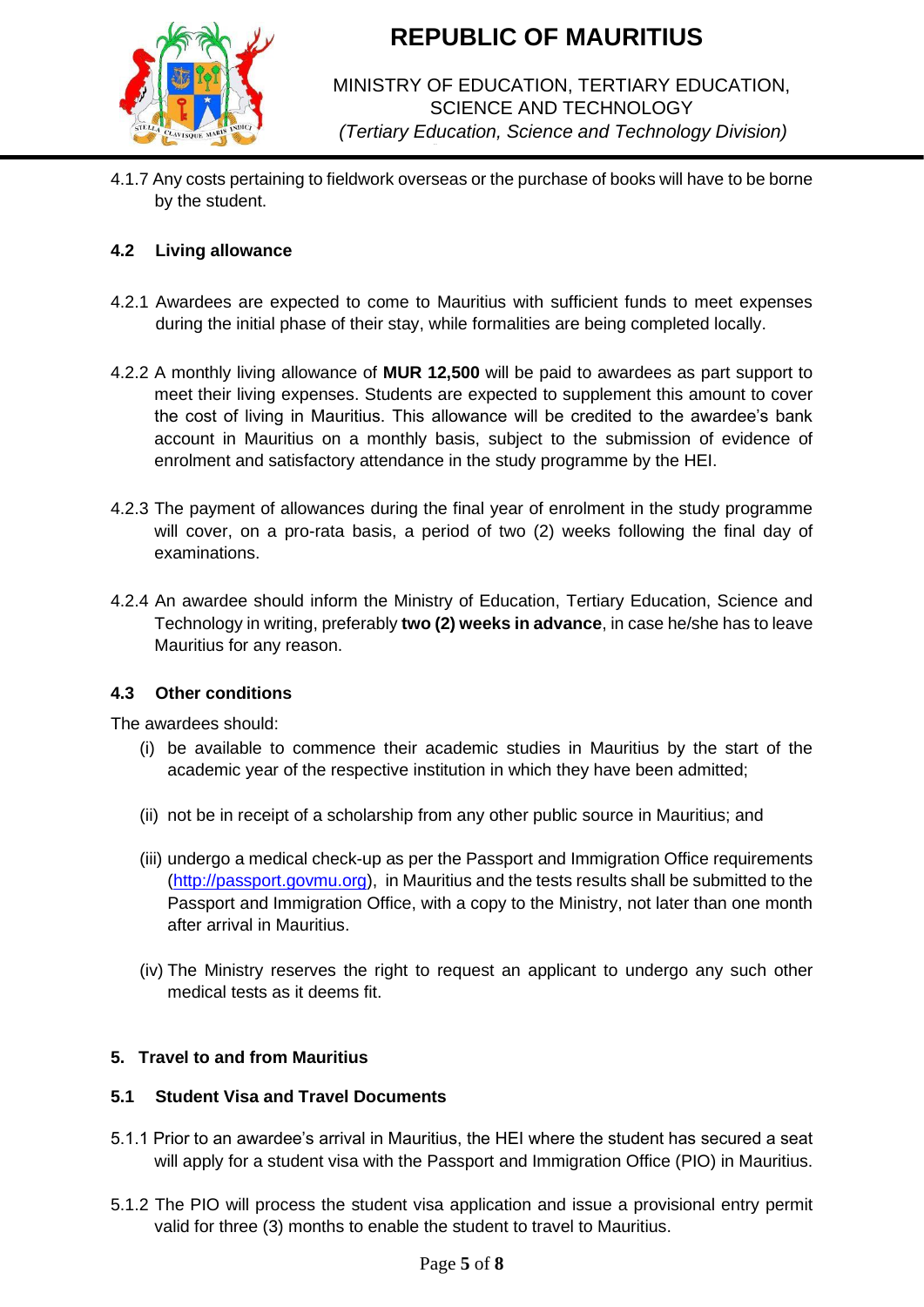

## MINISTRY OF EDUCATION, TERTIARY EDUCATION, SCIENCE AND TECHNOLOGY *(Tertiary Education, Science and Technology Division)*

4.1.7 Any costs pertaining to fieldwork overseas or the purchase of books will have to be borne by the student.

## **4.2 Living allowance**

- 4.2.1 Awardees are expected to come to Mauritius with sufficient funds to meet expenses during the initial phase of their stay, while formalities are being completed locally.
- 4.2.2 A monthly living allowance of **MUR 12,500** will be paid to awardees as part support to meet their living expenses. Students are expected to supplement this amount to cover the cost of living in Mauritius. This allowance will be credited to the awardee's bank account in Mauritius on a monthly basis, subject to the submission of evidence of enrolment and satisfactory attendance in the study programme by the HEI.
- 4.2.3 The payment of allowances during the final year of enrolment in the study programme will cover, on a pro-rata basis, a period of two (2) weeks following the final day of examinations.
- 4.2.4 An awardee should inform the Ministry of Education, Tertiary Education, Science and Technology in writing, preferably **two (2) weeks in advance**, in case he/she has to leave Mauritius for any reason.

## **4.3 Other conditions**

The awardees should:

- (i) be available to commence their academic studies in Mauritius by the start of the academic year of the respective institution in which they have been admitted;
- (ii) not be in receipt of a scholarship from any other public source in Mauritius; and
- (iii) undergo a medical check-up as per the Passport and Immigration Office requirements [\(http://passport.govmu.org\),](http://passport.govmu.org/) in Mauritius and the tests results shall be submitted to the Passport and Immigration Office, with a copy to the Ministry, not later than one month after arrival in Mauritius.
- (iv) The Ministry reserves the right to request an applicant to undergo any such other medical tests as it deems fit.

## **5. Travel to and from Mauritius**

### **5.1 Student Visa and Travel Documents**

- 5.1.1 Prior to an awardee's arrival in Mauritius, the HEI where the student has secured a seat will apply for a student visa with the Passport and Immigration Office (PIO) in Mauritius.
- 5.1.2 The PIO will process the student visa application and issue a provisional entry permit valid for three (3) months to enable the student to travel to Mauritius.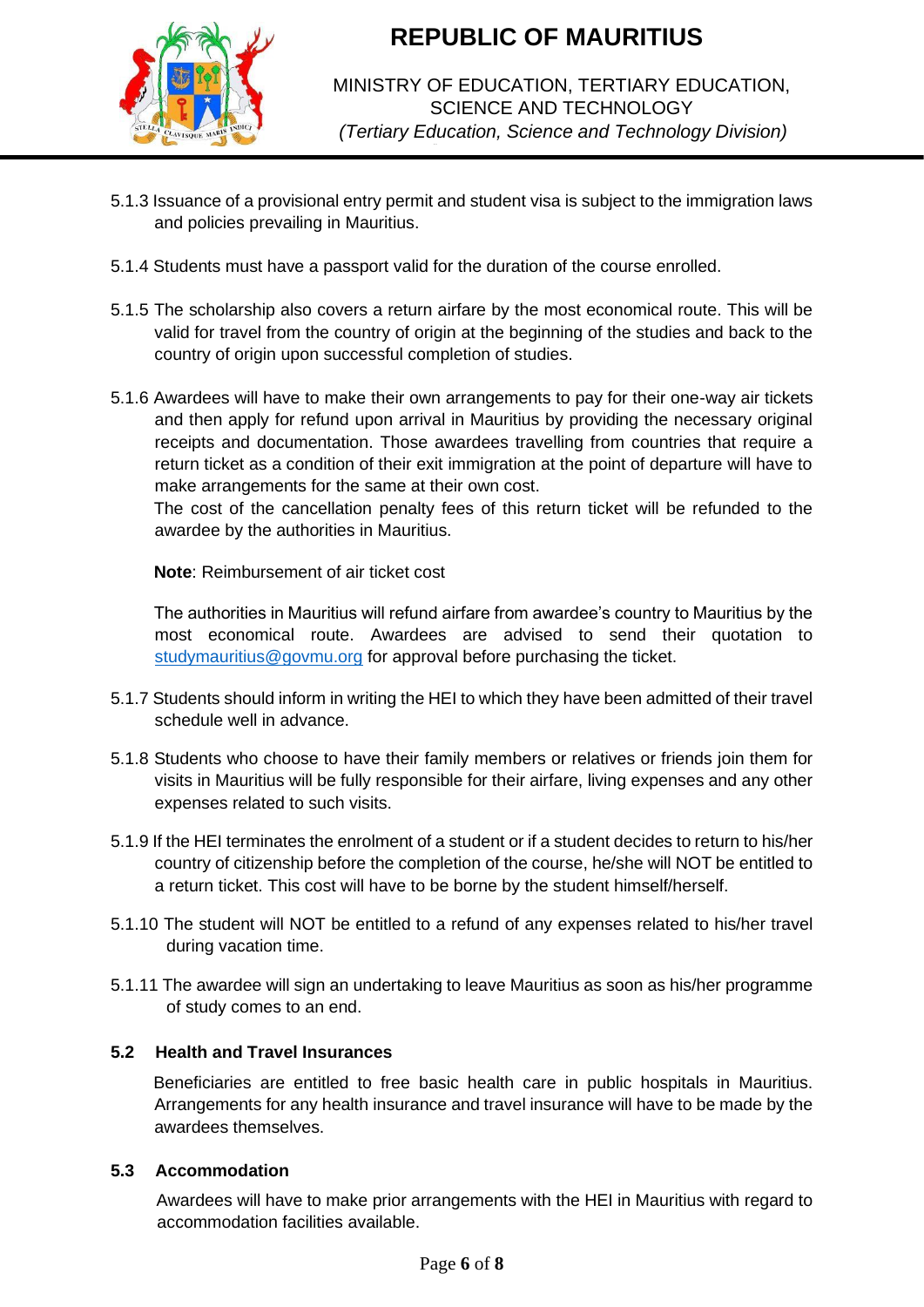

## MINISTRY OF EDUCATION, TERTIARY EDUCATION, SCIENCE AND TECHNOLOGY *(Tertiary Education, Science and Technology Division)*

- 5.1.3 Issuance of a provisional entry permit and student visa is subject to the immigration laws and policies prevailing in Mauritius.
- 5.1.4 Students must have a passport valid for the duration of the course enrolled.
- 5.1.5 The scholarship also covers a return airfare by the most economical route. This will be valid for travel from the country of origin at the beginning of the studies and back to the country of origin upon successful completion of studies.
- 5.1.6 Awardees will have to make their own arrangements to pay for their one-way air tickets and then apply for refund upon arrival in Mauritius by providing the necessary original receipts and documentation. Those awardees travelling from countries that require a return ticket as a condition of their exit immigration at the point of departure will have to make arrangements for the same at their own cost.

The cost of the cancellation penalty fees of this return ticket will be refunded to the awardee by the authorities in Mauritius.

**Note**: Reimbursement of air ticket cost

The authorities in Mauritius will refund airfare from awardee's country to Mauritius by the most economical route. Awardees are advised to send their quotation to [studymauritius@govmu.org](mailto:studymauritius@govmu.org) for approval before purchasing the ticket.

- 5.1.7 Students should inform in writing the HEI to which they have been admitted of their travel schedule well in advance.
- 5.1.8 Students who choose to have their family members or relatives or friends join them for visits in Mauritius will be fully responsible for their airfare, living expenses and any other expenses related to such visits.
- 5.1.9 If the HEI terminates the enrolment of a student or if a student decides to return to his/her country of citizenship before the completion of the course, he/she will NOT be entitled to a return ticket. This cost will have to be borne by the student himself/herself.
- 5.1.10 The student will NOT be entitled to a refund of any expenses related to his/her travel during vacation time.
- 5.1.11 The awardee will sign an undertaking to leave Mauritius as soon as his/her programme of study comes to an end.

## **5.2 Health and Travel Insurances**

Beneficiaries are entitled to free basic health care in public hospitals in Mauritius. Arrangements for any health insurance and travel insurance will have to be made by the awardees themselves.

## **5.3 Accommodation**

Awardees will have to make prior arrangements with the HEI in Mauritius with regard to accommodation facilities available.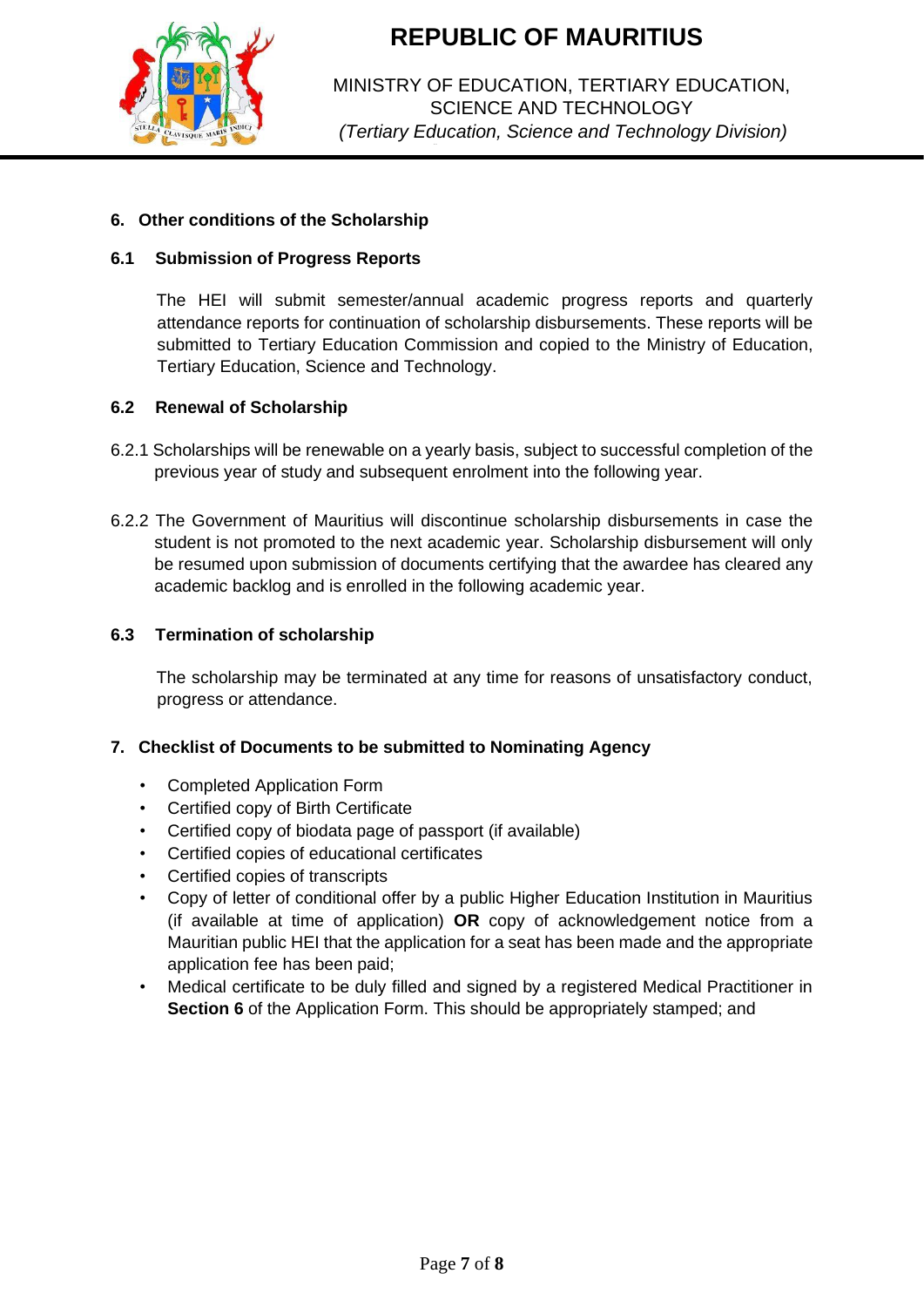

MINISTRY OF EDUCATION, TERTIARY EDUCATION, SCIENCE AND TECHNOLOGY *(Tertiary Education, Science and Technology Division)*

### **6. Other conditions of the Scholarship**

### **6.1 Submission of Progress Reports**

The HEI will submit semester/annual academic progress reports and quarterly attendance reports for continuation of scholarship disbursements. These reports will be submitted to Tertiary Education Commission and copied to the Ministry of Education, Tertiary Education, Science and Technology.

#### **6.2 Renewal of Scholarship**

- 6.2.1 Scholarships will be renewable on a yearly basis, subject to successful completion of the previous year of study and subsequent enrolment into the following year.
- 6.2.2 The Government of Mauritius will discontinue scholarship disbursements in case the student is not promoted to the next academic year. Scholarship disbursement will only be resumed upon submission of documents certifying that the awardee has cleared any academic backlog and is enrolled in the following academic year.

#### **6.3 Termination of scholarship**

The scholarship may be terminated at any time for reasons of unsatisfactory conduct, progress or attendance.

#### **7. Checklist of Documents to be submitted to Nominating Agency**

- Completed Application Form
- Certified copy of Birth Certificate
- Certified copy of biodata page of passport (if available)
- Certified copies of educational certificates
- Certified copies of transcripts
- Copy of letter of conditional offer by a public Higher Education Institution in Mauritius (if available at time of application) **OR** copy of acknowledgement notice from a Mauritian public HEI that the application for a seat has been made and the appropriate application fee has been paid;
- Medical certificate to be duly filled and signed by a registered Medical Practitioner in **Section 6** of the Application Form. This should be appropriately stamped; and